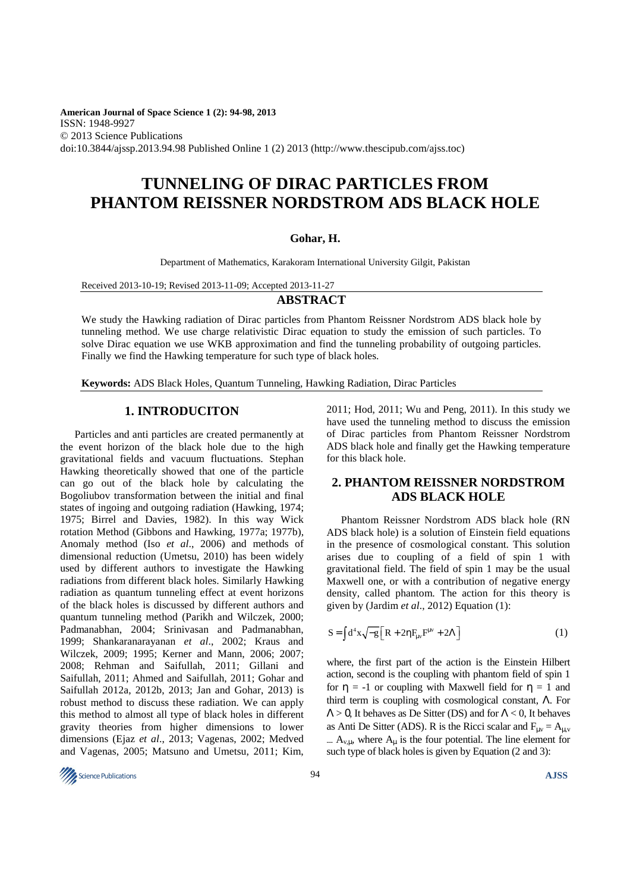**American Journal of Space Science 1 (2): 94-98, 2013**  ISSN: 1948-9927 © 2013 Science Publications doi:10.3844/ajssp.2013.94.98 Published Online 1 (2) 2013 (http://www.thescipub.com/ajss.toc)

## **TUNNELING OF DIRAC PARTICLES FROM PHANTOM REISSNER NORDSTROM ADS BLACK HOLE**

#### **Gohar, H.**

Department of Mathematics, Karakoram International University Gilgit, Pakistan

Received 2013-10-19; Revised 2013-11-09; Accepted 2013-11-27

### **ABSTRACT**

We study the Hawking radiation of Dirac particles from Phantom Reissner Nordstrom ADS black hole by tunneling method. We use charge relativistic Dirac equation to study the emission of such particles. To solve Dirac equation we use WKB approximation and find the tunneling probability of outgoing particles. Finally we find the Hawking temperature for such type of black holes.

**Keywords:** ADS Black Holes, Quantum Tunneling, Hawking Radiation, Dirac Particles

## **1. INTRODUCITON**

Particles and anti particles are created permanently at the event horizon of the black hole due to the high gravitational fields and vacuum fluctuations. Stephan Hawking theoretically showed that one of the particle can go out of the black hole by calculating the Bogoliubov transformation between the initial and final states of ingoing and outgoing radiation (Hawking, 1974; 1975; Birrel and Davies, 1982). In this way Wick rotation Method (Gibbons and Hawking, 1977a; 1977b), Anomaly method (Iso *et al*., 2006) and methods of dimensional reduction (Umetsu, 2010) has been widely used by different authors to investigate the Hawking radiations from different black holes. Similarly Hawking radiation as quantum tunneling effect at event horizons of the black holes is discussed by different authors and quantum tunneling method (Parikh and Wilczek, 2000; Padmanabhan, 2004; Srinivasan and Padmanabhan, 1999; Shankaranarayanan *et al*., 2002; Kraus and Wilczek, 2009; 1995; Kerner and Mann, 2006; 2007; 2008; Rehman and Saifullah, 2011; Gillani and Saifullah, 2011; Ahmed and Saifullah, 2011; Gohar and Saifullah 2012a, 2012b, 2013; Jan and Gohar, 2013) is robust method to discuss these radiation. We can apply this method to almost all type of black holes in different gravity theories from higher dimensions to lower dimensions (Ejaz *et al*., 2013; Vagenas, 2002; Medved and Vagenas, 2005; Matsuno and Umetsu, 2011; Kim, 2011; Hod, 2011; Wu and Peng, 2011). In this study we have used the tunneling method to discuss the emission of Dirac particles from Phantom Reissner Nordstrom ADS black hole and finally get the Hawking temperature for this black hole.

## **2. PHANTOM REISSNER NORDSTROM ADS BLACK HOLE**

Phantom Reissner Nordstrom ADS black hole (RN ADS black hole) is a solution of Einstein field equations in the presence of cosmological constant. This solution arises due to coupling of a field of spin 1 with gravitational field. The field of spin 1 may be the usual Maxwell one, or with a contribution of negative energy density, called phantom. The action for this theory is given by (Jardim *et al*., 2012) Equation (1):

$$
S = \int d^4x \sqrt{-g} \left[ R + 2\eta F_{\mu\nu} F^{\mu\nu} + 2\Lambda \right] \tag{1}
$$

where, the first part of the action is the Einstein Hilbert action, second is the coupling with phantom field of spin 1 for  $\eta = -1$  or coupling with Maxwell field for  $\eta = 1$  and third term is coupling with cosmological constant, Λ. For  $\Lambda > 0$ , It behaves as De Sitter (DS) and for  $\Lambda < 0$ , It behaves as Anti De Sitter (ADS). R is the Ricci scalar and  $F_{\mu\nu} = A_{\mu,\nu}$  $A_{v,II}$ , where  $A_{u}$  is the four potential. The line element for such type of black holes is given by Equation (2 and 3):

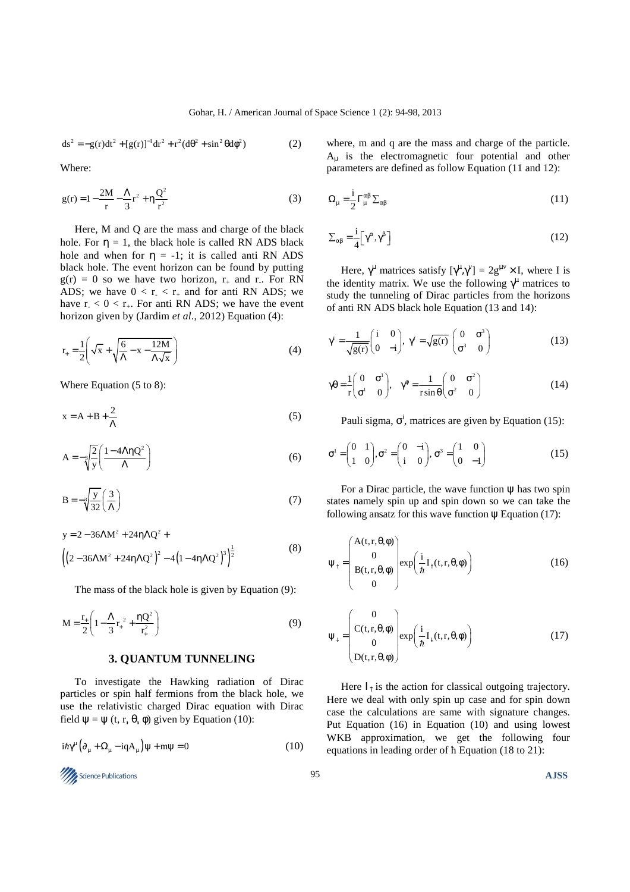$$
ds^{2} = -g(r)dt^{2} + [g(r)]^{-1}dr^{2} + r^{2}(d\theta^{2} + \sin^{2}\theta d\phi^{2})
$$
 (2)

Where:

$$
g(r) = 1 - \frac{2M}{r} - \frac{\Lambda}{3}r^2 + \eta \frac{Q^2}{r^2}
$$
 (3)

Here, M and Q are the mass and charge of the black hole. For  $\eta = 1$ , the black hole is called RN ADS black hole and when for  $\eta = -1$ ; it is called anti RN ADS black hole. The event horizon can be found by putting  $g(r) = 0$  so we have two horizon,  $r_{+}$  and r. For RN ADS; we have  $0 < r_{-} < r_{+}$  and for anti RN ADS; we have  $r_{-} < 0 < r_{+}$ . For anti RN ADS; we have the event horizon given by (Jardim *et al*., 2012) Equation (4):

$$
r_{+} = \frac{1}{2} \left( \sqrt{x} + \sqrt{\frac{6}{\Lambda} - x - \frac{12M}{\Lambda\sqrt{x}}} \right)
$$
 (4)

Where Equation (5 to 8):

$$
x = A + B + \frac{2}{\Lambda} \tag{5}
$$

$$
A = -\sqrt[3]{\frac{2}{y}} \left( \frac{1 - 4\Lambda \eta Q^2}{\Lambda} \right)
$$
 (6)

$$
B = -\sqrt[3]{\frac{y}{32}} \left(\frac{3}{\Lambda}\right)
$$
 (7)

$$
y = 2 - 36\Lambda M^{2} + 24\eta \Lambda Q^{2} +
$$
  

$$
\left( \left( 2 - 36\Lambda M^{2} + 24\eta \Lambda Q^{2} \right)^{2} - 4\left( 1 - 4\eta \Lambda Q^{2} \right)^{3} \right)^{\frac{1}{2}}
$$
 (8)

The mass of the black hole is given by Equation (9):

$$
M = \frac{r_{+}}{2} \left( 1 - \frac{\Lambda}{3} r_{+}^{2} + \frac{\eta Q^{2}}{r_{+}^{2}} \right)
$$
(9)

### **3. QUANTUM TUNNELING**

To investigate the Hawking radiation of Dirac particles or spin half fermions from the black hole, we use the relativistic charged Dirac equation with Dirac field  $\psi = \psi$  (t, r,  $\theta$ ,  $\phi$ ) given by Equation (10):

$$
i\hbar\gamma^{\mu}\left(\partial_{\mu} + \Omega_{\mu} - iqA_{\mu}\right)\psi + m\psi = 0\tag{10}
$$

**Science Publications AJSS AJSS ASS ALLER** 

where, m and q are the mass and charge of the particle.  $A<sub>u</sub>$  is the electromagnetic four potential and other parameters are defined as follow Equation (11 and 12):

$$
\Omega_{\mu} = \frac{i}{2} \Gamma_{\mu}^{\alpha \beta} \Sigma_{\alpha \beta} \tag{11}
$$

$$
\Sigma_{\alpha\beta} = \frac{i}{4} \Big[ \gamma^{\alpha}, \gamma^{\beta} \Big]
$$
 (12)

Here,  $\gamma^{\mu}$  matrices satisfy  $[\gamma^{\mu}, \gamma^{\nu}] = 2g^{\mu\nu} \times I$ , where I is the identity matrix. We use the following  $\gamma^{\mu}$  matrices to study the tunneling of Dirac particles from the horizons of anti RN ADS black hole Equation (13 and 14):

$$
\gamma' = \frac{1}{\sqrt{g(r)}} \begin{pmatrix} i & 0 \\ 0 & -i \end{pmatrix}, \ \gamma^r = \sqrt{g(r)} \begin{pmatrix} 0 & \sigma^3 \\ \sigma^3 & 0 \end{pmatrix}
$$
 (13)

$$
\gamma \theta = \frac{1}{r} \begin{pmatrix} 0 & \sigma^1 \\ \sigma^1 & 0 \end{pmatrix}, \quad \gamma^{\phi} = \frac{1}{r \sin \theta} \begin{pmatrix} 0 & \sigma^2 \\ \sigma^2 & 0 \end{pmatrix}
$$
(14)

Pauli sigma,  $\sigma^i$ , matrices are given by Equation (15):

$$
\sigma^1 = \begin{pmatrix} 0 & 1 \\ 1 & 0 \end{pmatrix}, \sigma^2 = \begin{pmatrix} 0 & -i \\ i & 0 \end{pmatrix}, \sigma^3 = \begin{pmatrix} 1 & 0 \\ 0 & -1 \end{pmatrix}
$$
 (15)

For a Dirac particle, the wave function  $\psi$  has two spin states namely spin up and spin down so we can take the following ansatz for this wave function  $\psi$  Equation (17):

$$
\Psi_{\uparrow} = \begin{pmatrix} A(t, r, \theta, \phi) \\ 0 \\ B(t, r, \theta, \phi) \\ 0 \end{pmatrix} \exp\left(\frac{i}{\hbar} I_{\uparrow}(t, r, \theta, \phi)\right) \tag{16}
$$

$$
\Psi_{\downarrow} = \begin{pmatrix} 0 \\ C(t, r, \theta, \phi) \\ 0 \\ D(t, r, \theta, \phi) \end{pmatrix} \exp\left(\frac{i}{\hbar} I_{\downarrow}(t, r, \theta, \phi)\right) \tag{17}
$$

Here  $I_{\uparrow}$  is the action for classical outgoing trajectory. Here we deal with only spin up case and for spin down case the calculations are same with signature changes. Put Equation (16) in Equation (10) and using lowest WKB approximation, we get the following four equations in leading order of ħ Equation (18 to 21):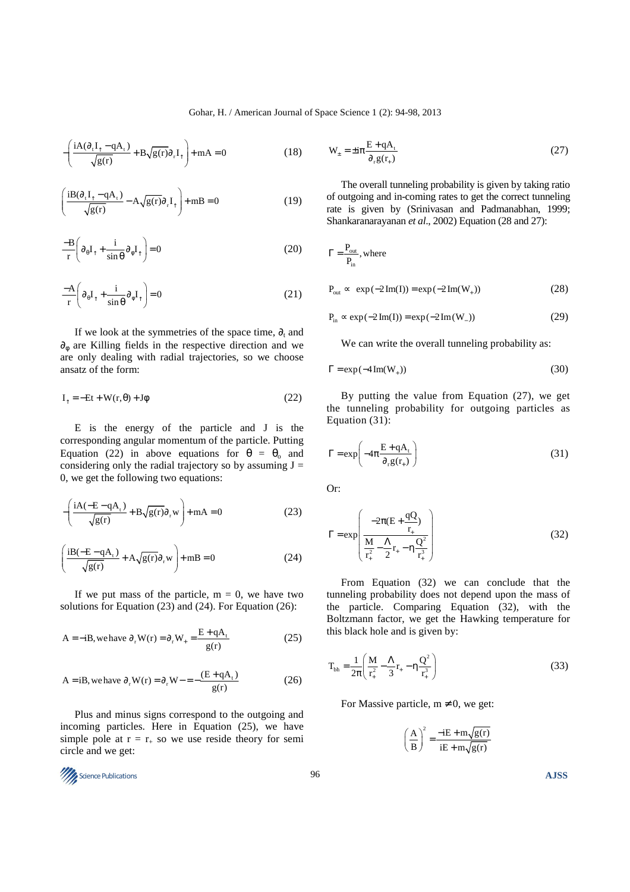$$
-\left(\frac{iA(\partial_{t}I_{\uparrow}-qA_{t})}{\sqrt{g(r)}}+B\sqrt{g(r)}\partial_{r}I_{\uparrow}\right)+mA=0
$$
\n(18)

$$
\left(\frac{iB(\partial_{\tau}I_{\uparrow}-qA_{\tau})}{\sqrt{g(r)}}-A\sqrt{g(r)}\partial_{\tau}I_{\uparrow}\right)+mB=0
$$
\n(19)

$$
\frac{-B}{r} \left( \partial_{\theta} I_{\uparrow} + \frac{i}{\sin \theta} \partial_{\phi} I_{\uparrow} \right) = 0 \tag{20}
$$

$$
\frac{-A}{r} \left( \partial_{\theta} I_{\uparrow} + \frac{i}{\sin \theta} \partial_{\phi} I_{\uparrow} \right) = 0 \tag{21}
$$

If we look at the symmetries of the space time,  $\partial_t$  and  $\partial_{\phi}$  are Killing fields in the respective direction and we are only dealing with radial trajectories, so we choose ansatz of the form:

$$
I_{\uparrow} = -Et + W(r, \theta) + J\phi \tag{22}
$$

E is the energy of the particle and J is the corresponding angular momentum of the particle. Putting Equation (22) in above equations for  $\theta = \theta_0$  and considering only the radial trajectory so by assuming  $J =$ 0, we get the following two equations:

$$
-\left(\frac{iA(-E-qA_t)}{\sqrt{g(r)}} + B\sqrt{g(r)}\partial_r w\right) + mA = 0
$$
\n(23)

$$
\left(\frac{iB(-E-qA_t)}{\sqrt{g(r)}} + A\sqrt{g(r)}\partial_r w\right) + mB = 0
$$
\n(24)

If we put mass of the particle,  $m = 0$ , we have two solutions for Equation (23) and (24). For Equation (26):

$$
A = -iB, \text{ we have } \partial_r W(r) = \partial_r W_+ = \frac{E + qA_t}{g(r)} \tag{25}
$$

$$
A = iB, \text{ we have } \partial_r W(r) = \partial_r W - \frac{(E + qA_t)}{g(r)} \tag{26}
$$

Plus and minus signs correspond to the outgoing and incoming particles. Here in Equation (25), we have simple pole at  $r = r_{+}$  so we use reside theory for semi circle and we get:

Science Publications 96 **AJSS** 

$$
W_{\pm} = \pm i\pi \frac{E + qA_t}{\partial_r g(r_+)}
$$
 (27)

The overall tunneling probability is given by taking ratio of outgoing and in-coming rates to get the correct tunneling rate is given by (Srinivasan and Padmanabhan, 1999; Shankaranarayanan *et al*., 2002) Equation (28 and 27):

$$
\Gamma = \frac{P_{\text{out}}}{P_{\text{in}}}, \text{where}
$$
  

$$
P_{\text{out}} \sim \exp(-2\,\text{Im}(I)) = \exp(-2\,\text{Im}(W_{+}))
$$
 (28)

$$
P_{\text{in}} \propto \exp(-2 \text{Im}(I)) = \exp(-2 \text{Im}(W_{-}))
$$
 (29)

We can write the overall tunneling probability as:

$$
\Gamma = \exp(-4\operatorname{Im}(W_+))\tag{30}
$$

By putting the value from Equation (27), we get the tunneling probability for outgoing particles as Equation (31):

$$
\Gamma = \exp\left(-4\pi \frac{\mathbf{E} + \mathbf{q}\mathbf{A}_{t}}{\partial_{r} \mathbf{g}(\mathbf{r}_{+})}\right)
$$
(31)

Or:

$$
\Gamma = \exp\left(\frac{-2\pi(E + \frac{qQ}{r_{+}})}{\frac{M}{r_{+}^{2}} - \frac{\Lambda}{2}r_{+} - \eta \frac{Q^{2}}{r_{+}^{3}}}\right)
$$
(32)

From Equation (32) we can conclude that the tunneling probability does not depend upon the mass of the particle. Comparing Equation (32), with the Boltzmann factor, we get the Hawking temperature for this black hole and is given by:

$$
T_{bh} = \frac{1}{2\pi} \left( \frac{M}{r_+^2} - \frac{\Lambda}{3} r_+ - \eta \frac{Q^2}{r_+^3} \right)
$$
 (33)

For Massive particle,  $m \neq 0$ , we get:

$$
\left(\frac{A}{B}\right)^2 = \frac{-iE + m\sqrt{g(r)}}{iE + m\sqrt{g(r)}}
$$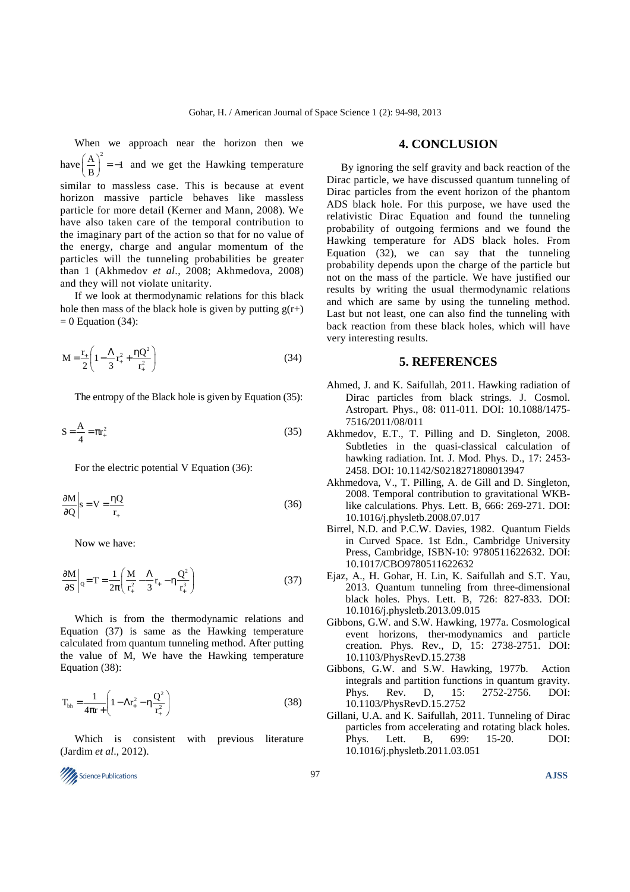When we approach near the horizon then we have  $\left(\frac{A}{B}\right)^2 = -1$  $\left(\frac{A}{B}\right)^2 = -1$  and we get the Hawking temperature similar to massless case. This is because at event horizon massive particle behaves like massless particle for more detail (Kerner and Mann, 2008). We have also taken care of the temporal contribution to the imaginary part of the action so that for no value of the energy, charge and angular momentum of the particles will the tunneling probabilities be greater than 1 (Akhmedov *et al*., 2008; Akhmedova, 2008) and they will not violate unitarity.

If we look at thermodynamic relations for this black hole then mass of the black hole is given by putting  $g(r+)$  $= 0$  Equation (34):

$$
M = \frac{r_{+}}{2} \left( 1 - \frac{\Lambda}{3} r_{+}^{2} + \frac{\eta Q^{2}}{r_{+}^{2}} \right)
$$
 (34)

The entropy of the Black hole is given by Equation (35):

$$
S = \frac{A}{4} = \pi r_+^2
$$
 (35)

For the electric potential V Equation (36):

$$
\left. \frac{\partial M}{\partial Q} \right| s = V = \frac{\eta Q}{r_+} \tag{36}
$$

Now we have:

$$
\left. \frac{\partial M}{\partial S} \right|_{Q} = T = \frac{1}{2\pi} \left( \frac{M}{r_{+}^{2}} - \frac{\Lambda}{3} r_{+} - \eta \frac{Q^{2}}{r_{+}^{3}} \right)
$$
(37)

Which is from the thermodynamic relations and Equation (37) is same as the Hawking temperature calculated from quantum tunneling method. After putting the value of M, We have the Hawking temperature Equation (38):

$$
T_{bh} = \frac{1}{4\pi r} \left( 1 - \Lambda r_{+}^{2} - \eta \frac{Q^{2}}{r_{+}^{2}} \right)
$$
 (38)

Which is consistent with previous literature (Jardim *et al*., 2012).

# **Science Publications AJSS AJSS A**

#### **4. CONCLUSION**

By ignoring the self gravity and back reaction of the Dirac particle, we have discussed quantum tunneling of Dirac particles from the event horizon of the phantom ADS black hole. For this purpose, we have used the relativistic Dirac Equation and found the tunneling probability of outgoing fermions and we found the Hawking temperature for ADS black holes. From Equation (32), we can say that the tunneling probability depends upon the charge of the particle but not on the mass of the particle. We have justified our results by writing the usual thermodynamic relations and which are same by using the tunneling method. Last but not least, one can also find the tunneling with back reaction from these black holes, which will have very interesting results.

#### **5. REFERENCES**

- Ahmed, J. and K. Saifullah, 2011. Hawking radiation of Dirac particles from black strings. J. Cosmol. Astropart. Phys., 08: 011-011. DOI: 10.1088/1475- 7516/2011/08/011
- Akhmedov, E.T., T. Pilling and D. Singleton, 2008. Subtleties in the quasi-classical calculation of hawking radiation. Int. J. Mod. Phys. D., 17: 2453- 2458. DOI: 10.1142/S0218271808013947
- Akhmedova, V., T. Pilling, A. de Gill and D. Singleton, 2008. Temporal contribution to gravitational WKBlike calculations. Phys. Lett. B, 666: 269-271. DOI: 10.1016/j.physletb.2008.07.017
- Birrel, N.D. and P.C.W. Davies, 1982. Quantum Fields in Curved Space. 1st Edn., Cambridge University Press, Cambridge, ISBN-10: 9780511622632. DOI: 10.1017/CBO9780511622632
- Ejaz, A., H. Gohar, H. Lin, K. Saifullah and S.T. Yau, 2013. Quantum tunneling from three-dimensional black holes. Phys. Lett. B, 726: 827-833. DOI: 10.1016/j.physletb.2013.09.015
- Gibbons, G.W. and S.W. Hawking, 1977a. Cosmological event horizons, ther-modynamics and particle creation. Phys. Rev., D, 15: 2738-2751. DOI: 10.1103/PhysRevD.15.2738
- Gibbons, G.W. and S.W. Hawking, 1977b. Action integrals and partition functions in quantum gravity. Phys. Rev. D, 15: 2752-2756. DOI: 10.1103/PhysRevD.15.2752
- Gillani, U.A. and K. Saifullah, 2011. Tunneling of Dirac particles from accelerating and rotating black holes. Phys. Lett. B, 699: 15-20. DOI: 10.1016/j.physletb.2011.03.051